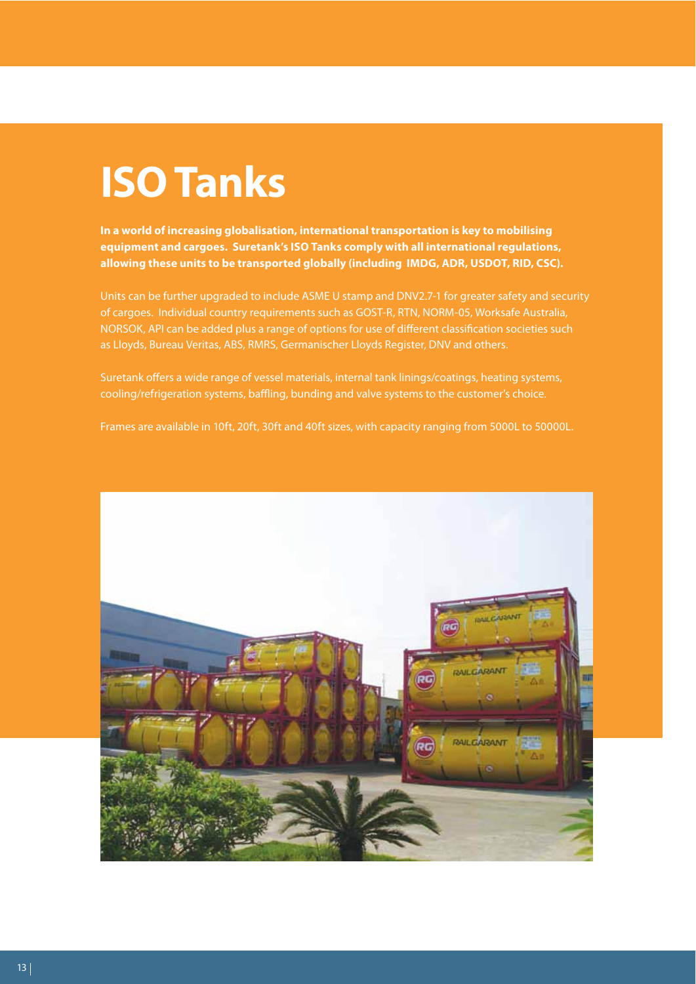## **ISO Tanks**

**In a world of increasing globalisation, international transportation is key to mobilising equipment and cargoes. Suretank's ISO Tanks comply with all international regulations, allowing these units to be transported globally (including IMDG, ADR, USDOT, RID, CSC).** 

Units can be further upgraded to include ASME U stamp and DNV2.7-1 for greater safety and security of cargoes. Individual country requirements such as GOST-R, RTN, NORM-05, Worksafe Australia, NORSOK, API can be added plus a range of options for use of different classification societies such as Lloyds, Bureau Veritas, ABS, RMRS, Germanischer Lloyds Register, DNV and others.

Suretank offers a wide range of vessel materials, internal tank linings/coatings, heating systems, cooling/refrigeration systems, baffling, bunding and valve systems to the customer's choice.

Frames are available in 10ft, 20ft, 30ft and 40ft sizes, with capacity ranging from 5000L to 50000L.

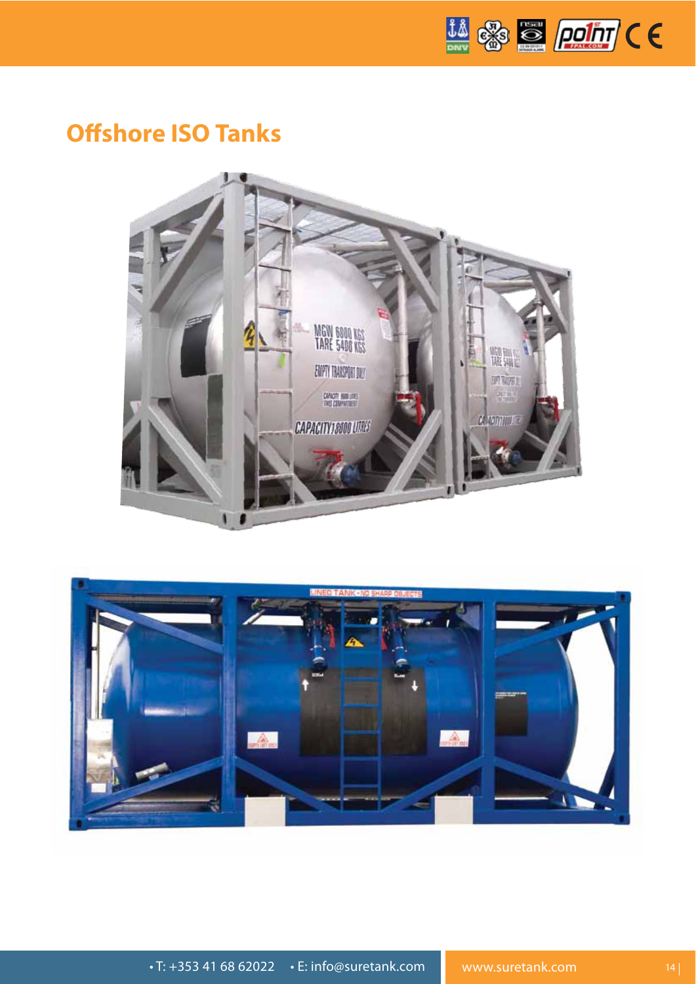

## **Offshore ISO Tanks**